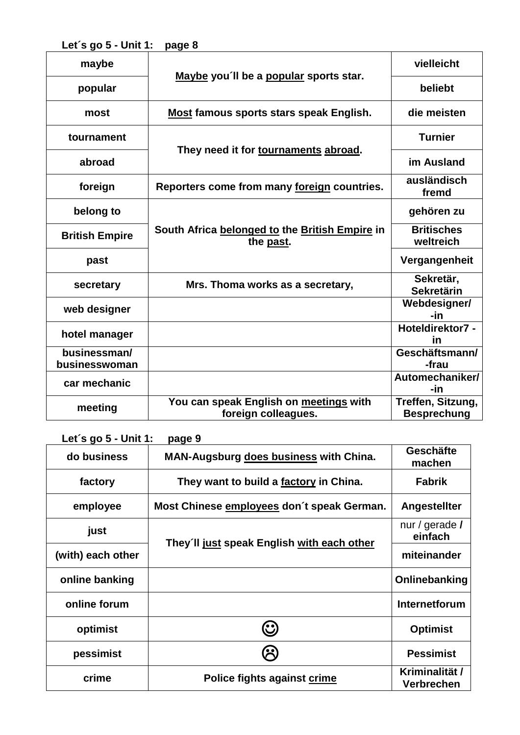**Let´s go 5 - Unit 1: page 8**

| maybe                         | Maybe you'll be a popular sports star.                        | vielleicht                              |
|-------------------------------|---------------------------------------------------------------|-----------------------------------------|
| popular                       |                                                               | beliebt                                 |
| most                          | Most famous sports stars speak English.                       | die meisten                             |
| tournament                    | They need it for tournaments abroad.                          | <b>Turnier</b>                          |
| abroad                        |                                                               | im Ausland                              |
| foreign                       | Reporters come from many foreign countries.                   | ausländisch<br>fremd                    |
| belong to                     | South Africa belonged to the British Empire in<br>the past.   | gehören zu                              |
| <b>British Empire</b>         |                                                               | <b>Britisches</b><br>weltreich          |
| past                          |                                                               | Vergangenheit                           |
| secretary                     | Mrs. Thoma works as a secretary,                              | Sekretär,<br><b>Sekretärin</b>          |
| web designer                  |                                                               | Webdesigner/<br>-in                     |
| hotel manager                 |                                                               | Hoteldirektor7 -<br>in                  |
| businessman/<br>businesswoman |                                                               | Geschäftsmann/<br>-frau                 |
| car mechanic                  |                                                               | Automechaniker/<br>-in                  |
| meeting                       | You can speak English on meetings with<br>foreign colleagues. | Treffen, Sitzung,<br><b>Besprechung</b> |

**Let´s go 5 - Unit 1: page 9**

| do business       | <b>MAN-Augsburg does business with China.</b> | <b>Geschäfte</b><br>machen          |
|-------------------|-----------------------------------------------|-------------------------------------|
| factory           | They want to build a factory in China.        | <b>Fabrik</b>                       |
| employee          | Most Chinese employees don't speak German.    | Angestellter                        |
| just              |                                               | nur / gerade /<br>einfach           |
| (with) each other | They'll just speak English with each other    | miteinander                         |
| online banking    |                                               | Onlinebanking                       |
| online forum      |                                               | Internetforum                       |
| optimist          | $\mathbf{\Theta}$                             | <b>Optimist</b>                     |
| pessimist         |                                               | <b>Pessimist</b>                    |
| crime             | Police fights against crime                   | Kriminalität /<br><b>Verbrechen</b> |